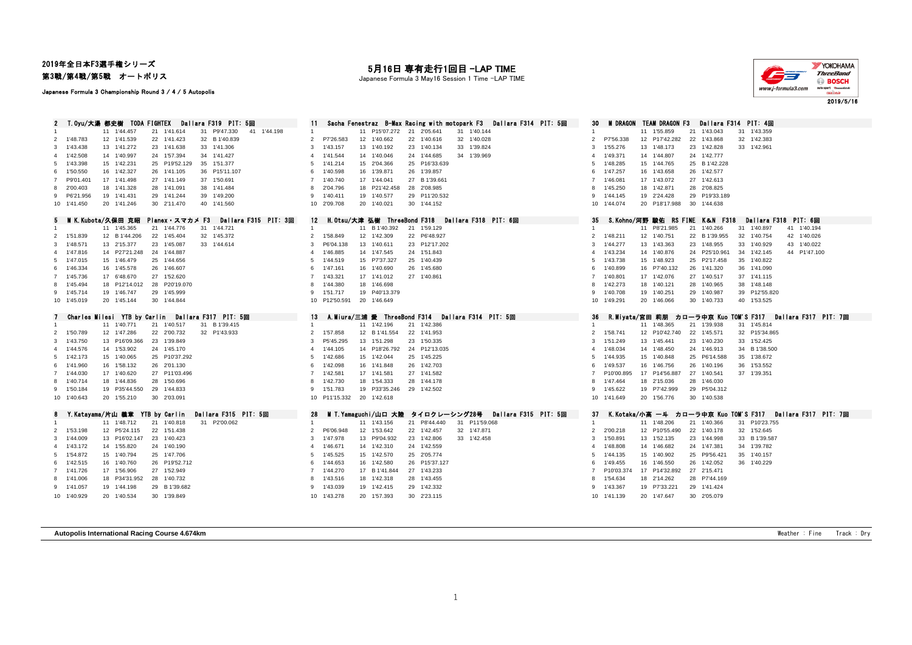## 2019年全日本F3選手権シリーズ

第3戦/第4戦/第5戦 オートポリス

## Japanese Formula 3 Championship Round 3 / 4 / 5 Autopolis

## 月16日 専有走行1回目 -LAP TIME

Japanese Formula 3 May16 Session 1 Time -LAP TIME



2019/5/16

2 T.Oyu/大湯 都史樹 TODA FIGHTEX Dallara F319 PIT: 5回 11 Sacha Fenestraz B-Max Racing with motopark F3 Dallara F314 PIT: 5回 30 M DRAGON TEAM DRAGON F3 Dallara F314 PIT: 4回<br>1 11 155,859 21 143,043 31 143,359 41 144,198 1 1414, 11 1'44.457 21 1'41.614 31 P9'47.330 41 1'44.198 1 11 P15'07.272 21 2'05.641 31 1'40.144 1 11 1'55.859 21 1'43.043 31 1'43.359 1'48.783 12 1'41.539 22 1'41.423 32 B 1'40.839 2 P7'26.583 12 1'40.662 22 1'40.616 32 1'40.028 2 P7'56.338 12 P17'42.282 22 1'43.868 32 1'42.383 1'43.438 13 1'41.272 23 1'41.638 33 1'41.306 3 1'43.157 13 1'40.192 23 1'40.134 33 1'39.824 3 1'55.276 13 1'48.173 23 1'42.828 33 1'42.961 1'42.508 14 1'40.997 24 1'57.394 34 1'41.427 4 1'41.544 14 1'40.046 24 1'44.685 34 1'39.969 4 1'49.371 14 1'44.807 24 1'42.777 1'43.398 15 1'42.231 25 P19'52.129 35 1'51.377 5 1'41.214 15 2'04.366 25 P16'33.639 5 1'48.285 15 1'44.765 25 B 1'42.228 1'50.550 16 1'42.327 26 1'41.105 36 P15'11.107 6 1'40.598 16 1'39.871 26 1'39.857 6 1'47.257 16 1'43.658 26 1'42.577 P9'01.401 17 1'41.498 27 1'41.149 37 1'50.691 7 1'40.740 17 1'44.041 27 B 1'39.661 7 1'46.081 17 1'43.072 27 1'42.613 2'00.403 18 1'41.328 28 1'41.091 38 1'41.484 8 2'04.796 18 P21'42.458 28 2'08.985 8 1'45.250 18 1'42.871 28 2'08.825 P6'21.956 19 1'41.431 29 1'41.244 39 1'49.200 9 1'40.411 19 1'40.577 29 P11'20.532 9 1'44.145 19 2'24.428 29 P19'33.189 1'41.450 20 1'41.246 30 2'11.470 40 1'41.560 10 2'09.708 20 1'40.021 30 1'44.152 10 1'44.074 20 P18'17.988 30 1'44.638 5 MIK.Kubota/久保田 克昭 Planex・スマカメ F3 Dallara F315 PIT: 3回 12 H.Otsu/大津 弘樹 ThreeBond F318 Dallara F318 PIT: 6回 35 S.Kohno/河野 駿佑 RS FINE K&N F318 Dallara F318 PIT: 6回 35 S.Kohno/河野 駿佑 RS FINE K&N F318 Dallara F318 PIT: 6回 35 1 1 1'45.365 21 1'44.776 31 1'44.721 1 1 11 B 1'40.392 21 1'59.129 1 11 2010 1 11 2021.985 21 1'40.266 31 1'40.897 41 1'40.194<br>1 2 8 1'44 206 22 1'45.404 22 1'45.372 21 22 1'58.849 12 1'42.309 22 R548.927 22 2011 22 1'48.2 1'51.839 12 B 1'44.206 22 1'45.404 32 1'45.372 2 1'58.849 12 1'42.309 22 P6'48.927 2 1'48.211 12 1'40.751 22 B 1'39.955 32 1'40.754 42 1'40.026 1'48.571 13 2'15.377 23 1'45.087 33 1'44.614 3 P6'04.138 13 1'40.611 23 P12'17.202 3 1'44.277 13 1'43.363 23 1'48.955 33 1'40.929 43 1'40.022 1'47.816 14 P27'21.248 24 1'44.887 4 1'46.885 14 1'47.545 24 1'51.843 4 1'43.234 14 1'40.876 24 P25'10.961 34 1'42.145 44 P1'47.100 1'47.015 15 1'46.479 25 1'44.656 5 1'44.519 15 P7'37.327 25 1'40.439 5 1'43.738 15 1'48.923 25 P2'17.458 35 1'40.822 1'46.334 16 1'45.578 26 1'46.607 6 1'47.161 16 1'40.690 26 1'45.680 6 1'40.899 16 P7'40.132 26 1'41.320 36 1'41.090 1'45.736 17 6'48.670 27 1'52.620 7 1'43.321 17 1'41.012 27 1'40.861 7 1'40.801 17 1'42.076 27 1'40.517 37 1'41.115 1'45.494 18 P12'14.012 28 P20'19.070 8 1'44.380 18 1'46.698 8 1'42.273 18 1'40.121 28 1'40.965 38 1'48.148 1'45.714 19 1'46.747 29 1'45.999 9 1'51.717 19 P40'13.379 9 1'40.708 19 1'40.251 29 1'40.987 39 P12'55.820 1'45.019 20 1'45.144 30 1'44.844 10 P12'50.591 20 1'46.649 10 1'49.291 20 1'46.066 30 1'40.733 40 1'53.525 7 Charles Milesi YTB by Carlin Dallara F317 PIT: 5回 13 A.Miura/三浦 愛 ThreeBond F314 Dallara F314 PIT: 5回 36 R.Miyata/宮田 莉朋 カローラ中京 Kuo TOM'S F317 Dallara F317 PIT: 7回 11 1'40.771 21 1'40.517 31 B 1'39.415 1 11 1'42.196 21 1'42.386 1 11 1'48.365 21 1'39.938 31 1'45.814 1'50.789 12 1'47.286 22 2'00.732 32 P1'43.933 2 1'57.858 12 B 1'41.554 22 1'41.953 2 1'58.741 12 P10'42.740 22 1'45.571 32 P15'34.865 1'43.750 13 P16'09.366 23 1'39.849 3 P5'45.295 13 1'51.298 23 1'50.335 3 1'51.249 13 1'45.441 23 1'40.230 33 1'52.425 1'44.576 14 1'53.902 24 1'45.170 4 1'44.105 14 P18'26.792 24 P12'13.035 4 1'48.034 14 1'48.450 24 1'46.913 34 B 1'38.500 1'42.173 15 1'40.065 25 P10'37.292 5 1'42.686 15 1'42.044 25 1'45.225 5 1'44.935 15 1'40.848 25 P6'14.588 35 1'38.672 1'41.960 16 1'58.132 26 2'01.130 6 1'42.098 16 1'41.848 26 1'42.703 6 1'49.537 16 1'46.756 26 1'40.196 36 1'53.552 1'44.030 17 1'40.620 27 P11'03.496 7 1'42.581 17 1'41.581 27 1'41.582 7 P10'00.895 17 P14'56.887 27 1'40.541 37 1'39.351 1'40.714 18 1'44.836 28 1'50.696 8 1'42.730 18 1'54.333 28 1'44.178 8 1'47.464 18 2'15.036 28 1'46.030 1'50.184 19 P35'44.550 29 1'44.833 9 1'51.783 19 P33'35.246 29 1'42.502 9 1'45.622 19 P7'42.999 29 P5'04.312 1'40.643 20 1'55.210 30 2'03.091 10 P11'15.332 20 1'42.618 10 1'41.649 20 1'56.776 30 1'40.538 Y.Katayama/片山 義章 YTB by Carlin Dallara F315 PIT: 5回 28 M T.Yamaguchi/山口 大陸 タイロクレーシング28号 Dallara F315 PIT: 5回 37 K.Kotaka/小高 一斗 カローラ中京 Kuo TOM'S F317 Dallara F317 PIT: 7回 11 1'48.712 21 1'40.818 31 P2'00.062 1 11 1'43.156 21 P8'44.440 31 P11'59.068 1 11 1'48.206 21 1'40.366 31 P10'23.755 1'53.198 12 P5'24.115 22 1'51.438 2 P6'06.948 12 1'53.642 22 1'42.457 32 1'47.871 2 2'00.218 12 P10'55.490 22 1'40.178 32 1'52.645 1'44.009 13 P16'02.147 23 1'40.423 3 1'47.978 13 P9'04.932 23 1'42.806 33 1'42.458 3 1'50.891 13 1'52.135 23 1'44.998 33 B 1'39.587 1'43.172 14 1'55.820 24 1'40.190 4 1'46.671 14 1'42.310 24 1'42.559 4 1'48.808 14 1'46.682 24 1'47.381 34 1'39.782 1'54.872 15 1'40.794 25 1'47.706 5 1'45.525 15 1'42.570 25 2'05.774 5 1'44.135 15 1'40.902 25 P9'56.421 35 1'40.157 1'42.515 16 1'40.760 26 P19'52.712 6 1'44.653 16 1'42.580 26 P15'37.127 6 1'49.455 16 1'46.550 26 1'42.052 36 1'40.229 1'41.726 17 1'56.906 27 1'52.949 7 1'44.270 17 B 1'41.844 27 1'43.233 7 P10'03.374 17 P14'32.892 27 2'15.471 1'41.006 18 P34'31.952 28 1'40.732 8 1'43.516 18 1'42.318 28 1'43.455 8 1'54.634 18 2'14.262 28 P7'44.169 1'41.057 19 1'44.198 29 B 1'39.682 9 1'43.039 19 1'42.415 29 1'42.332 9 1'43.367 19 P7'33.221 29 1'41.424 1'40.929 20 1'40.534 30 1'39.849 10 1'43.278 20 1'57.393 30 2'23.115 10 1'41.139 20 1'47.647 30 2'05.079

**Autopolis International Racing Course 4.674km** Weather : Fine Track : Dry